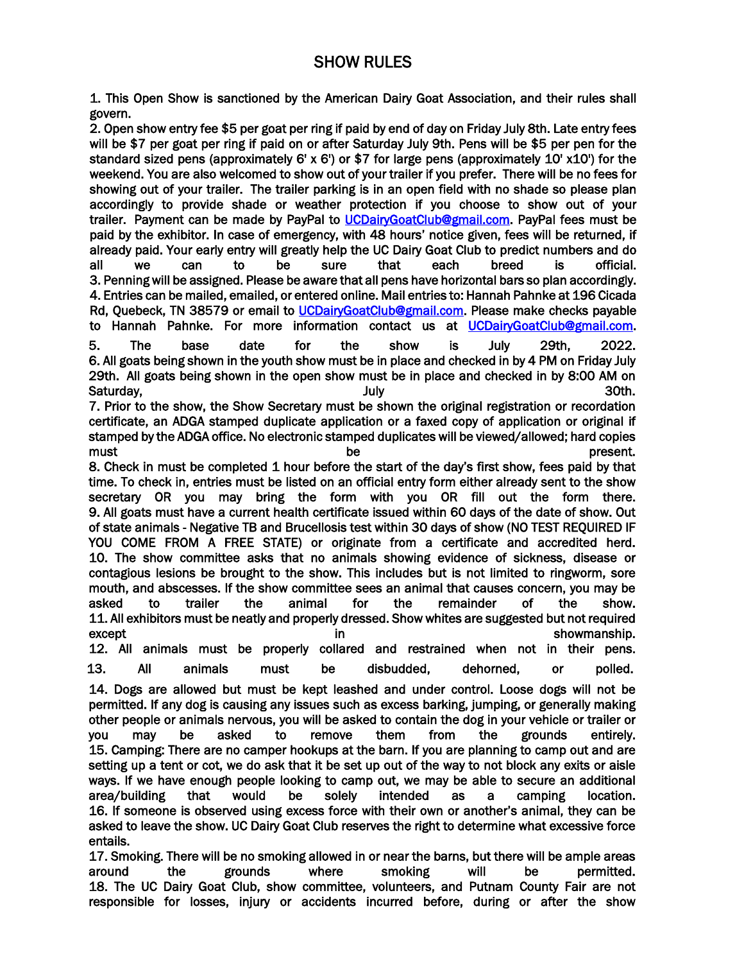## SHOW RULES

1. This Open Show is sanctioned by the American Dairy Goat Association, and their rules shall govern.

2. Open show entry fee \$5 per goat per ring if paid by end of day on Friday July 8th. Late entry fees will be \$7 per goat per ring if paid on or after Saturday July 9th. Pens will be \$5 per pen for the standard sized pens (approximately 6' x 6') or \$7 for large pens (approximately 10' x10') for the weekend. You are also welcomed to show out of your trailer if you prefer. There will be no fees for showing out of your trailer. The trailer parking is in an open field with no shade so please plan accordingly to provide shade or weather protection if you choose to show out of your trailer. Payment can be made by PayPal to [UCDairyGoatClub@gmail.com.](mailto:UCDairyGoatClub@gmail.com) PayPal fees must be paid by the exhibitor. In case of emergency, with 48 hours' notice given, fees will be returned, if already paid. Your early entry will greatly help the UC Dairy Goat Club to predict numbers and do all we can to be sure that each breed is official. 3. Penning will be assigned. Please be aware that all pens have horizontal bars so plan accordingly. 4. Entries can be mailed, emailed, or entered online. Mail entries to: Hannah Pahnke at 196 Cicada Rd, Quebeck, TN 38579 or email to [UCDairyGoatClub@gmail.com.](mailto:UCDairyGoatClub@gmail.com) Please make checks payable to Hannah Pahnke. For more information contact us at [UCDairyGoatClub@gmail.com.](mailto:UCDairyGoatClub@gmail.com) 5. The base date for the show is July 29th, 2022. 6. All goats being shown in the youth show must be in place and checked in by 4 PM on Friday July 29th. All goats being shown in the open show must be in place and checked in by 8:00 AM on Saturday, July 30th. 7. Prior to the show, the Show Secretary must be shown the original registration or recordation certificate, an ADGA stamped duplicate application or a faxed copy of application or original if stamped by the ADGA office. No electronic stamped duplicates will be viewed/allowed; hard copies must research of the present. 8. Check in must be completed 1 hour before the start of the day's first show, fees paid by that time. To check in, entries must be listed on an official entry form either already sent to the show secretary OR you may bring the form with you OR fill out the form there. 9. All goats must have a current health certificate issued within 60 days of the date of show. Out of state animals - Negative TB and Brucellosis test within 30 days of show (NO TEST REQUIRED IF YOU COME FROM A FREE STATE) or originate from a certificate and accredited herd. 10. The show committee asks that no animals showing evidence of sickness, disease or contagious lesions be brought to the show. This includes but is not limited to ringworm, sore mouth, and abscesses. If the show committee sees an animal that causes concern, you may be asked to trailer the animal for the remainder of the show. 11. All exhibitors must be neatly and properly dressed. Show whites are suggested but not required except in showmanship. 12. All animals must be properly collared and restrained when not in their pens. 13. All animals must be disbudded, dehorned, or polled. 14. Dogs are allowed but must be kept leashed and under control. Loose dogs will not be permitted. If any dog is causing any issues such as excess barking, jumping, or generally making other people or animals nervous, you will be asked to contain the dog in your vehicle or trailer or you may be asked to remove them from the grounds entirely. 15. Camping: There are no camper hookups at the barn. If you are planning to camp out and are setting up a tent or cot, we do ask that it be set up out of the way to not block any exits or aisle ways. If we have enough people looking to camp out, we may be able to secure an additional area/building that would be solely intended as a camping location. 16. If someone is observed using excess force with their own or another's animal, they can be asked to leave the show. UC Dairy Goat Club reserves the right to determine what excessive force entails.

17. Smoking. There will be no smoking allowed in or near the barns, but there will be ample areas around the grounds where smoking will be permitted. 18. The UC Dairy Goat Club, show committee, volunteers, and Putnam County Fair are not responsible for losses, injury or accidents incurred before, during or after the show